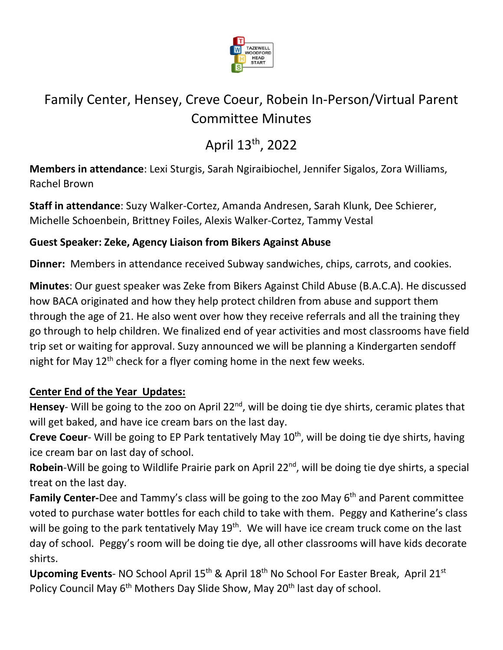

# Family Center, Hensey, Creve Coeur, Robein In-Person/Virtual Parent Committee Minutes

# April 13th, 2022

**Members in attendance**: Lexi Sturgis, Sarah Ngiraibiochel, Jennifer Sigalos, Zora Williams, Rachel Brown

**Staff in attendance**: Suzy Walker-Cortez, Amanda Andresen, Sarah Klunk, Dee Schierer, Michelle Schoenbein, Brittney Foiles, Alexis Walker-Cortez, Tammy Vestal

### **Guest Speaker: Zeke, Agency Liaison from Bikers Against Abuse**

**Dinner:** Members in attendance received Subway sandwiches, chips, carrots, and cookies.

**Minutes**: Our guest speaker was Zeke from Bikers Against Child Abuse (B.A.C.A). He discussed how BACA originated and how they help protect children from abuse and support them through the age of 21. He also went over how they receive referrals and all the training they go through to help children. We finalized end of year activities and most classrooms have field trip set or waiting for approval. Suzy announced we will be planning a Kindergarten sendoff night for May  $12<sup>th</sup>$  check for a flyer coming home in the next few weeks.

### **Center End of the Year Updates:**

Hensey- Will be going to the zoo on April 22<sup>nd</sup>, will be doing tie dye shirts, ceramic plates that will get baked, and have ice cream bars on the last day.

**Creve Coeur-** Will be going to EP Park tentatively May 10<sup>th</sup>, will be doing tie dye shirts, having ice cream bar on last day of school.

Robein-Will be going to Wildlife Prairie park on April 22<sup>nd</sup>, will be doing tie dye shirts, a special treat on the last day.

Family Center-Dee and Tammy's class will be going to the zoo May 6<sup>th</sup> and Parent committee voted to purchase water bottles for each child to take with them. Peggy and Katherine's class will be going to the park tentatively May 19<sup>th</sup>. We will have ice cream truck come on the last day of school. Peggy's room will be doing tie dye, all other classrooms will have kids decorate shirts.

**Upcoming Events- NO School April 15<sup>th</sup> & April 18<sup>th</sup> No School For Easter Break, April 21<sup>st</sup>** Policy Council May 6<sup>th</sup> Mothers Day Slide Show, May 20<sup>th</sup> last day of school.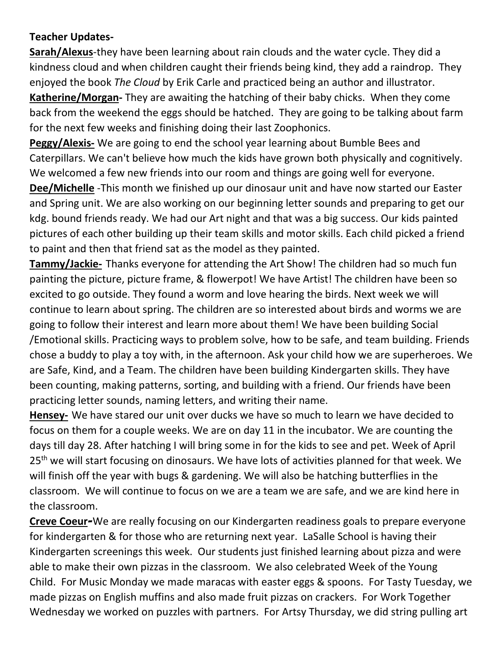#### **Teacher Updates-**

**Sarah/Alexus**-they have been learning about rain clouds and the water cycle. They did a kindness cloud and when children caught their friends being kind, they add a raindrop. They enjoyed the book *The Cloud* by Erik Carle and practiced being an author and illustrator. **Katherine/Morgan-** They are awaiting the hatching of their baby chicks. When they come

back from the weekend the eggs should be hatched. They are going to be talking about farm for the next few weeks and finishing doing their last Zoophonics.

**Peggy/Alexis-** We are going to end the school year learning about Bumble Bees and Caterpillars. We can't believe how much the kids have grown both physically and cognitively. We welcomed a few new friends into our room and things are going well for everyone.

**Dee/Michelle** -This month we finished up our dinosaur unit and have now started our Easter and Spring unit. We are also working on our beginning letter sounds and preparing to get our kdg. bound friends ready. We had our Art night and that was a big success. Our kids painted pictures of each other building up their team skills and motor skills. Each child picked a friend to paint and then that friend sat as the model as they painted.

**Tammy/Jackie-** Thanks everyone for attending the Art Show! The children had so much fun painting the picture, picture frame, & flowerpot! We have Artist! The children have been so excited to go outside. They found a worm and love hearing the birds. Next week we will continue to learn about spring. The children are so interested about birds and worms we are going to follow their interest and learn more about them! We have been building Social /Emotional skills. Practicing ways to problem solve, how to be safe, and team building. Friends chose a buddy to play a toy with, in the afternoon. Ask your child how we are superheroes. We are Safe, Kind, and a Team. The children have been building Kindergarten skills. They have been counting, making patterns, sorting, and building with a friend. Our friends have been practicing letter sounds, naming letters, and writing their name.

**Hensey-** We have stared our unit over ducks we have so much to learn we have decided to focus on them for a couple weeks. We are on day 11 in the incubator. We are counting the days till day 28. After hatching I will bring some in for the kids to see and pet. Week of April 25<sup>th</sup> we will start focusing on dinosaurs. We have lots of activities planned for that week. We will finish off the year with bugs & gardening. We will also be hatching butterflies in the classroom. We will continue to focus on we are a team we are safe, and we are kind here in the classroom.

**Creve Coeur-**We are really focusing on our Kindergarten readiness goals to prepare everyone for kindergarten & for those who are returning next year. LaSalle School is having their Kindergarten screenings this week. Our students just finished learning about pizza and were able to make their own pizzas in the classroom. We also celebrated Week of the Young Child. For Music Monday we made maracas with easter eggs & spoons. For Tasty Tuesday, we made pizzas on English muffins and also made fruit pizzas on crackers. For Work Together Wednesday we worked on puzzles with partners. For Artsy Thursday, we did string pulling art